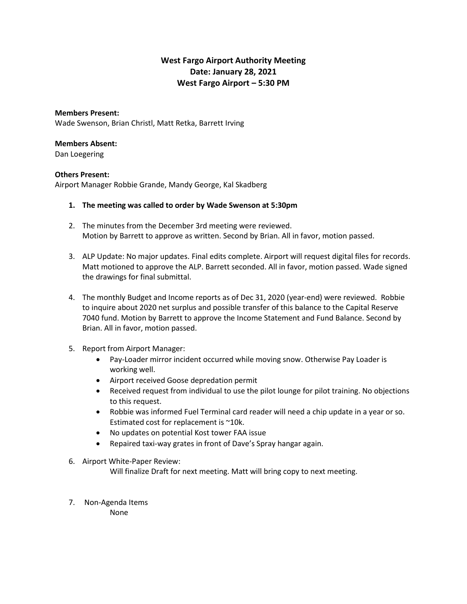## **West Fargo Airport Authority Meeting Date: January 28, 2021 West Fargo Airport – 5:30 PM**

## **Members Present:**

Wade Swenson, Brian Christl, Matt Retka, Barrett Irving

## **Members Absent:**

Dan Loegering

## **Others Present:**

Airport Manager Robbie Grande, Mandy George, Kal Skadberg

- **1. The meeting was called to order by Wade Swenson at 5:30pm**
- 2. The minutes from the December 3rd meeting were reviewed. Motion by Barrett to approve as written. Second by Brian. All in favor, motion passed.
- 3. ALP Update: No major updates. Final edits complete. Airport will request digital files for records. Matt motioned to approve the ALP. Barrett seconded. All in favor, motion passed. Wade signed the drawings for final submittal.
- 4. The monthly Budget and Income reports as of Dec 31, 2020 (year-end) were reviewed. Robbie to inquire about 2020 net surplus and possible transfer of this balance to the Capital Reserve 7040 fund. Motion by Barrett to approve the Income Statement and Fund Balance. Second by Brian. All in favor, motion passed.
- 5. Report from Airport Manager:
	- Pay-Loader mirror incident occurred while moving snow. Otherwise Pay Loader is working well.
	- Airport received Goose depredation permit
	- Received request from individual to use the pilot lounge for pilot training. No objections to this request.
	- Robbie was informed Fuel Terminal card reader will need a chip update in a year or so. Estimated cost for replacement is ~10k.
	- No updates on potential Kost tower FAA issue
	- Repaired taxi-way grates in front of Dave's Spray hangar again.
- 6. Airport White-Paper Review:

Will finalize Draft for next meeting. Matt will bring copy to next meeting.

7. Non-Agenda Items None